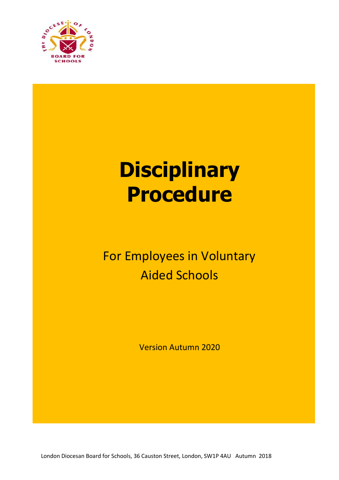

# **Disciplinary Procedure**

# For Employees in Voluntary Aided Schools

Version Autumn 2020

London Diocesan Board for Schools, 36 Causton Street, London, SW1P 4AU Autumn 2018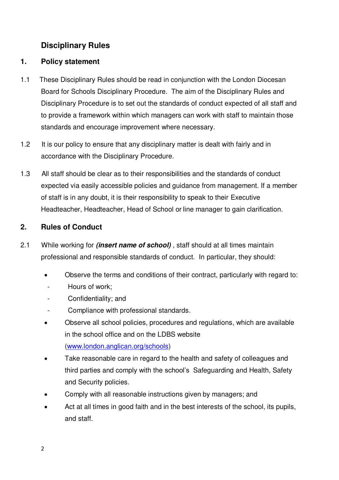# **Disciplinary Rules**

## **1. Policy statement**

- 1.1 These Disciplinary Rules should be read in conjunction with the London Diocesan Board for Schools Disciplinary Procedure. The aim of the Disciplinary Rules and Disciplinary Procedure is to set out the standards of conduct expected of all staff and to provide a framework within which managers can work with staff to maintain those standards and encourage improvement where necessary.
- 1.2 It is our policy to ensure that any disciplinary matter is dealt with fairly and in accordance with the Disciplinary Procedure.
- 1.3 All staff should be clear as to their responsibilities and the standards of conduct expected via easily accessible policies and guidance from management. If a member of staff is in any doubt, it is their responsibility to speak to their Executive Headteacher, Headteacher, Head of School or line manager to gain clarification.

# **2. Rules of Conduct**

- 2.1 While working for **(insert name of school)** , staff should at all times maintain professional and responsible standards of conduct. In particular, they should:
	- Observe the terms and conditions of their contract, particularly with regard to:
	- Hours of work:
	- Confidentiality; and
	- Compliance with professional standards.
	- Observe all school policies, procedures and regulations, which are available in the school office and on the LDBS website [\(www.london.anglican.org/schools\)](http://www.london.anglican.org/schools)
	- Take reasonable care in regard to the health and safety of colleagues and third parties and comply with the school's Safeguarding and Health, Safety and Security policies.
	- Comply with all reasonable instructions given by managers; and
	- Act at all times in good faith and in the best interests of the school, its pupils, and staff.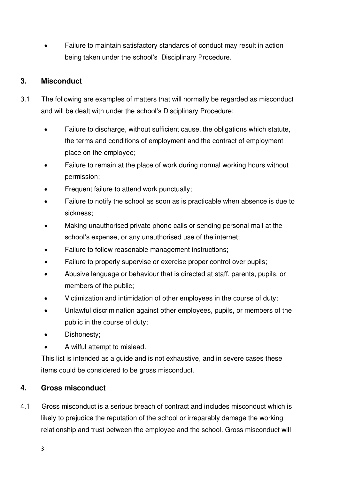Failure to maintain satisfactory standards of conduct may result in action being taken under the school's Disciplinary Procedure.

# **3. Misconduct**

- 3.1 The following are examples of matters that will normally be regarded as misconduct and will be dealt with under the school's Disciplinary Procedure:
	- Failure to discharge, without sufficient cause, the obligations which statute, the terms and conditions of employment and the contract of employment place on the employee;
	- Failure to remain at the place of work during normal working hours without permission;
	- Frequent failure to attend work punctually;
	- Failure to notify the school as soon as is practicable when absence is due to sickness;
	- Making unauthorised private phone calls or sending personal mail at the school's expense, or any unauthorised use of the internet;
	- Failure to follow reasonable management instructions;
	- Failure to properly supervise or exercise proper control over pupils;
	- Abusive language or behaviour that is directed at staff, parents, pupils, or members of the public;
	- Victimization and intimidation of other employees in the course of duty;
	- Unlawful discrimination against other employees, pupils, or members of the public in the course of duty;
	- Dishonesty;
	- A wilful attempt to mislead.

 This list is intended as a guide and is not exhaustive, and in severe cases these items could be considered to be gross misconduct.

# **4. Gross misconduct**

4.1 Gross misconduct is a serious breach of contract and includes misconduct which is likely to prejudice the reputation of the school or irreparably damage the working relationship and trust between the employee and the school. Gross misconduct will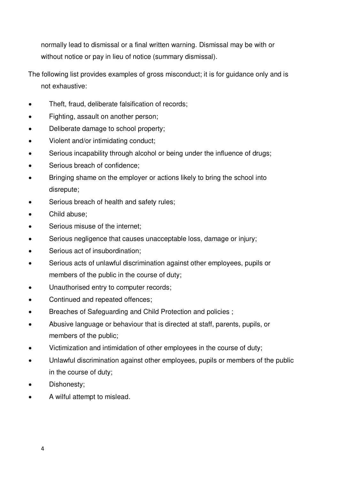normally lead to dismissal or a final written warning. Dismissal may be with or without notice or pay in lieu of notice (summary dismissal).

- The following list provides examples of gross misconduct; it is for guidance only and is not exhaustive:
- Theft, fraud, deliberate falsification of records;
- Fighting, assault on another person;
- Deliberate damage to school property;
- Violent and/or intimidating conduct;
- Serious incapability through alcohol or being under the influence of drugs;
- Serious breach of confidence;
- Bringing shame on the employer or actions likely to bring the school into disrepute;
- Serious breach of health and safety rules;
- Child abuse;
- Serious misuse of the internet;
- Serious negligence that causes unacceptable loss, damage or injury;
- Serious act of insubordination;
- Serious acts of unlawful discrimination against other employees, pupils or members of the public in the course of duty;
- Unauthorised entry to computer records;
- Continued and repeated offences;
- Breaches of Safeguarding and Child Protection and policies ;
- Abusive language or behaviour that is directed at staff, parents, pupils, or members of the public;
- Victimization and intimidation of other employees in the course of duty;
- Unlawful discrimination against other employees, pupils or members of the public in the course of duty;
- Dishonesty;
- A wilful attempt to mislead.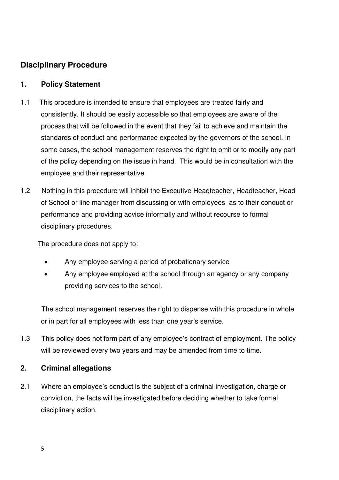# **Disciplinary Procedure**

#### **1. Policy Statement**

- 1.1 This procedure is intended to ensure that employees are treated fairly and consistently. It should be easily accessible so that employees are aware of the process that will be followed in the event that they fail to achieve and maintain the standards of conduct and performance expected by the governors of the school. In some cases, the school management reserves the right to omit or to modify any part of the policy depending on the issue in hand. This would be in consultation with the employee and their representative.
- 1.2 Nothing in this procedure will inhibit the Executive Headteacher, Headteacher, Head of School or line manager from discussing or with employees as to their conduct or performance and providing advice informally and without recourse to formal disciplinary procedures.

The procedure does not apply to:

- Any employee serving a period of probationary service
- Any employee employed at the school through an agency or any company providing services to the school.

 The school management reserves the right to dispense with this procedure in whole or in part for all employees with less than one year's service.

1.3 This policy does not form part of any employee's contract of employment. The policy will be reviewed every two years and may be amended from time to time.

#### **2. Criminal allegations**

2.1 Where an employee's conduct is the subject of a criminal investigation, charge or conviction, the facts will be investigated before deciding whether to take formal disciplinary action.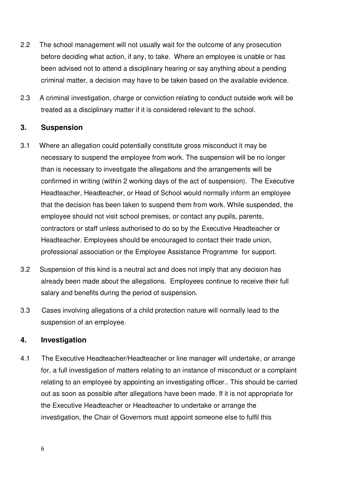- 2.2 The school management will not usually wait for the outcome of any prosecution before deciding what action, if any, to take. Where an employee is unable or has been advised not to attend a disciplinary hearing or say anything about a pending criminal matter, a decision may have to be taken based on the available evidence.
- 2.3 A criminal investigation, charge or conviction relating to conduct outside work will be treated as a disciplinary matter if it is considered relevant to the school.

#### **3. Suspension**

- 3.1 Where an allegation could potentially constitute gross misconduct it may be necessary to suspend the employee from work. The suspension will be no longer than is necessary to investigate the allegations and the arrangements will be confirmed in writing (within 2 working days of the act of suspension). The Executive Headteacher, Headteacher, or Head of School would normally inform an employee that the decision has been taken to suspend them from work. While suspended, the employee should not visit school premises, or contact any pupils, parents, contractors or staff unless authorised to do so by the Executive Headteacher or Headteacher. Employees should be encouraged to contact their trade union, professional association or the Employee Assistance Programme for support.
- 3.2 Suspension of this kind is a neutral act and does not imply that any decision has already been made about the allegations. Employees continue to receive their full salary and benefits during the period of suspension.
- 3.3 Cases involving allegations of a child protection nature will normally lead to the suspension of an employee.

#### **4. Investigation**

4.1 The Executive Headteacher/Headteacher or line manager will undertake, or arrange for, a full investigation of matters relating to an instance of misconduct or a complaint relating to an employee by appointing an investigating officer.. This should be carried out as soon as possible after allegations have been made. If it is not appropriate for the Executive Headteacher or Headteacher to undertake or arrange the investigation, the Chair of Governors must appoint someone else to fulfil this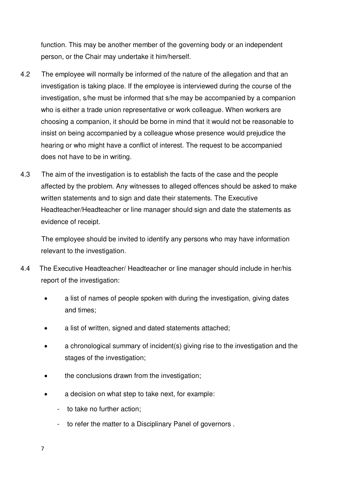function. This may be another member of the governing body or an independent person, or the Chair may undertake it him/herself.

- 4.2 The employee will normally be informed of the nature of the allegation and that an investigation is taking place. If the employee is interviewed during the course of the investigation, s/he must be informed that s/he may be accompanied by a companion who is either a trade union representative or work colleague. When workers are choosing a companion, it should be borne in mind that it would not be reasonable to insist on being accompanied by a colleague whose presence would prejudice the hearing or who might have a conflict of interest. The request to be accompanied does not have to be in writing.
- 4.3 The aim of the investigation is to establish the facts of the case and the people affected by the problem. Any witnesses to alleged offences should be asked to make written statements and to sign and date their statements. The Executive Headteacher/Headteacher or line manager should sign and date the statements as evidence of receipt.

 The employee should be invited to identify any persons who may have information relevant to the investigation.

- 4.4 The Executive Headteacher/ Headteacher or line manager should include in her/his report of the investigation:
	- a list of names of people spoken with during the investigation, giving dates and times;
	- a list of written, signed and dated statements attached;
	- a chronological summary of incident(s) giving rise to the investigation and the stages of the investigation;
	- the conclusions drawn from the investigation;
	- a decision on what step to take next, for example:
		- to take no further action;
		- to refer the matter to a Disciplinary Panel of governors .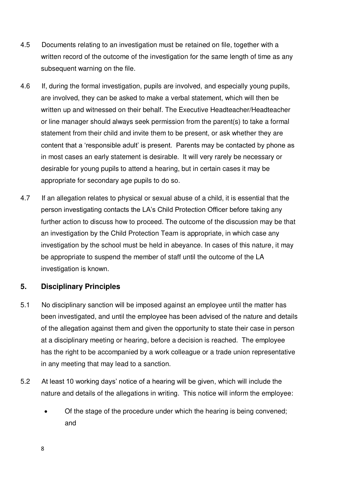- 4.5 Documents relating to an investigation must be retained on file, together with a written record of the outcome of the investigation for the same length of time as any subsequent warning on the file.
- 4.6 If, during the formal investigation, pupils are involved, and especially young pupils, are involved, they can be asked to make a verbal statement, which will then be written up and witnessed on their behalf. The Executive Headteacher/Headteacher or line manager should always seek permission from the parent(s) to take a formal statement from their child and invite them to be present, or ask whether they are content that a 'responsible adult' is present. Parents may be contacted by phone as in most cases an early statement is desirable. It will very rarely be necessary or desirable for young pupils to attend a hearing, but in certain cases it may be appropriate for secondary age pupils to do so.
- 4.7 If an allegation relates to physical or sexual abuse of a child, it is essential that the person investigating contacts the LA's Child Protection Officer before taking any further action to discuss how to proceed. The outcome of the discussion may be that an investigation by the Child Protection Team is appropriate, in which case any investigation by the school must be held in abeyance. In cases of this nature, it may be appropriate to suspend the member of staff until the outcome of the LA investigation is known.

#### **5. Disciplinary Principles**

- 5.1 No disciplinary sanction will be imposed against an employee until the matter has been investigated, and until the employee has been advised of the nature and details of the allegation against them and given the opportunity to state their case in person at a disciplinary meeting or hearing, before a decision is reached. The employee has the right to be accompanied by a work colleague or a trade union representative in any meeting that may lead to a sanction.
- 5.2 At least 10 working days' notice of a hearing will be given, which will include the nature and details of the allegations in writing. This notice will inform the employee:
	- Of the stage of the procedure under which the hearing is being convened; and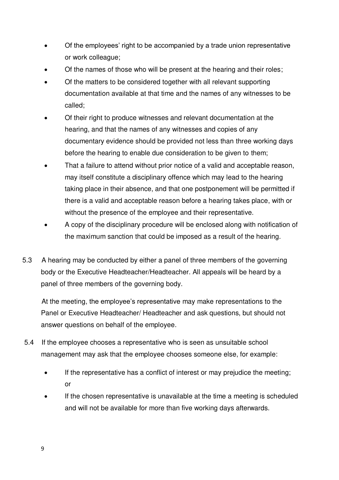- Of the employees' right to be accompanied by a trade union representative or work colleague;
- Of the names of those who will be present at the hearing and their roles;
- Of the matters to be considered together with all relevant supporting documentation available at that time and the names of any witnesses to be called;
- Of their right to produce witnesses and relevant documentation at the hearing, and that the names of any witnesses and copies of any documentary evidence should be provided not less than three working days before the hearing to enable due consideration to be given to them;
- That a failure to attend without prior notice of a valid and acceptable reason, may itself constitute a disciplinary offence which may lead to the hearing taking place in their absence, and that one postponement will be permitted if there is a valid and acceptable reason before a hearing takes place, with or without the presence of the employee and their representative.
- A copy of the disciplinary procedure will be enclosed along with notification of the maximum sanction that could be imposed as a result of the hearing.
- 5.3 A hearing may be conducted by either a panel of three members of the governing body or the Executive Headteacher/Headteacher. All appeals will be heard by a panel of three members of the governing body.

 At the meeting, the employee's representative may make representations to the Panel or Executive Headteacher/ Headteacher and ask questions, but should not answer questions on behalf of the employee.

- 5.4 If the employee chooses a representative who is seen as unsuitable school management may ask that the employee chooses someone else, for example:
	- If the representative has a conflict of interest or may prejudice the meeting; or
	- If the chosen representative is unavailable at the time a meeting is scheduled and will not be available for more than five working days afterwards.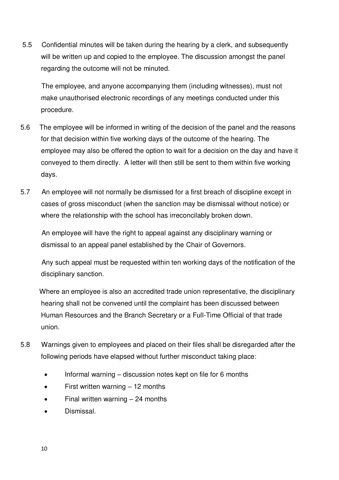5.5 Confidential minutes will be taken during the hearing by a clerk, and subsequently will be written up and copied to the employee. The discussion amongst the panel regarding the outcome will not be minuted.

 The employee, and anyone accompanying them (including witnesses), must not make unauthorised electronic recordings of any meetings conducted under this procedure.

- 5.6 The employee will be informed in writing of the decision of the panel and the reasons for that decision within five working days of the outcome of the hearing. The employee may also be offered the option to wait for a decision on the day and have it conveyed to them directly. A letter will then still be sent to them within five working days.
- 5.7 An employee will not normally be dismissed for a first breach of discipline except in cases of gross misconduct (when the sanction may be dismissal without notice) or where the relationship with the school has irreconcilably broken down.

 An employee will have the right to appeal against any disciplinary warning or dismissal to an appeal panel established by the Chair of Governors.

 Any such appeal must be requested within ten working days of the notification of the disciplinary sanction.

 Where an employee is also an accredited trade union representative, the disciplinary hearing shall not be convened until the complaint has been discussed between Human Resources and the Branch Secretary or a Full-Time Official of that trade union.

- 5.8 Warnings given to employees and placed on their files shall be disregarded after the following periods have elapsed without further misconduct taking place:
	- Informal warning discussion notes kept on file for 6 months
	- First written warning 12 months
	- Final written warning 24 months
	- Dismissal.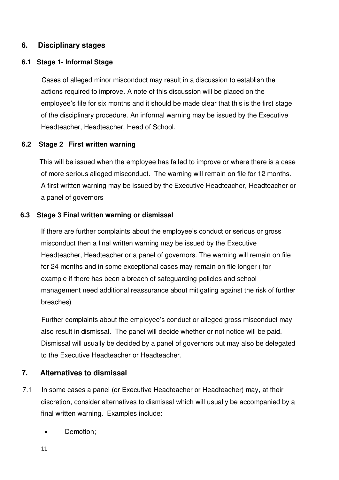#### **6. Disciplinary stages**

#### **6.1 Stage 1- Informal Stage**

 Cases of alleged minor misconduct may result in a discussion to establish the actions required to improve. A note of this discussion will be placed on the employee's file for six months and it should be made clear that this is the first stage of the disciplinary procedure. An informal warning may be issued by the Executive Headteacher, Headteacher, Head of School.

#### **6.2 Stage 2 First written warning**

 This will be issued when the employee has failed to improve or where there is a case of more serious alleged misconduct. The warning will remain on file for 12 months. A first written warning may be issued by the Executive Headteacher, Headteacher or a panel of governors

#### **6.3 Stage 3 Final written warning or dismissal**

If there are further complaints about the employee's conduct or serious or gross misconduct then a final written warning may be issued by the Executive Headteacher, Headteacher or a panel of governors. The warning will remain on file for 24 months and in some exceptional cases may remain on file longer ( for example if there has been a breach of safeguarding policies and school management need additional reassurance about mitigating against the risk of further breaches)

 Further complaints about the employee's conduct or alleged gross misconduct may also result in dismissal. The panel will decide whether or not notice will be paid. Dismissal will usually be decided by a panel of governors but may also be delegated to the Executive Headteacher or Headteacher.

#### **7. Alternatives to dismissal**

- 7.1 In some cases a panel (or Executive Headteacher or Headteacher) may, at their discretion, consider alternatives to dismissal which will usually be accompanied by a final written warning. Examples include:
	- Demotion;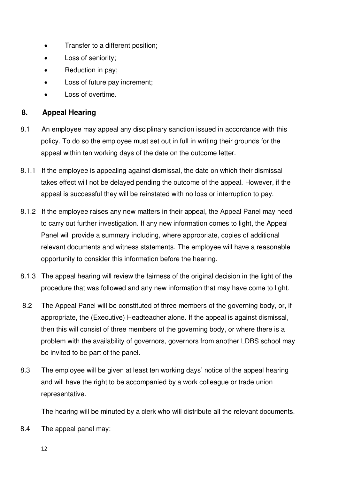- Transfer to a different position;
- Loss of seniority;
- Reduction in pay;
- Loss of future pay increment;
- Loss of overtime.

## **8. Appeal Hearing**

- 8.1 An employee may appeal any disciplinary sanction issued in accordance with this policy. To do so the employee must set out in full in writing their grounds for the appeal within ten working days of the date on the outcome letter.
- 8.1.1 If the employee is appealing against dismissal, the date on which their dismissal takes effect will not be delayed pending the outcome of the appeal. However, if the appeal is successful they will be reinstated with no loss or interruption to pay.
- 8.1.2 If the employee raises any new matters in their appeal, the Appeal Panel may need to carry out further investigation. If any new information comes to light, the Appeal Panel will provide a summary including, where appropriate, copies of additional relevant documents and witness statements. The employee will have a reasonable opportunity to consider this information before the hearing.
- 8.1.3 The appeal hearing will review the fairness of the original decision in the light of the procedure that was followed and any new information that may have come to light.
- 8.2 The Appeal Panel will be constituted of three members of the governing body, or, if appropriate, the (Executive) Headteacher alone. If the appeal is against dismissal, then this will consist of three members of the governing body, or where there is a problem with the availability of governors, governors from another LDBS school may be invited to be part of the panel.
- 8.3 The employee will be given at least ten working days' notice of the appeal hearing and will have the right to be accompanied by a work colleague or trade union representative.

The hearing will be minuted by a clerk who will distribute all the relevant documents.

8.4 The appeal panel may: